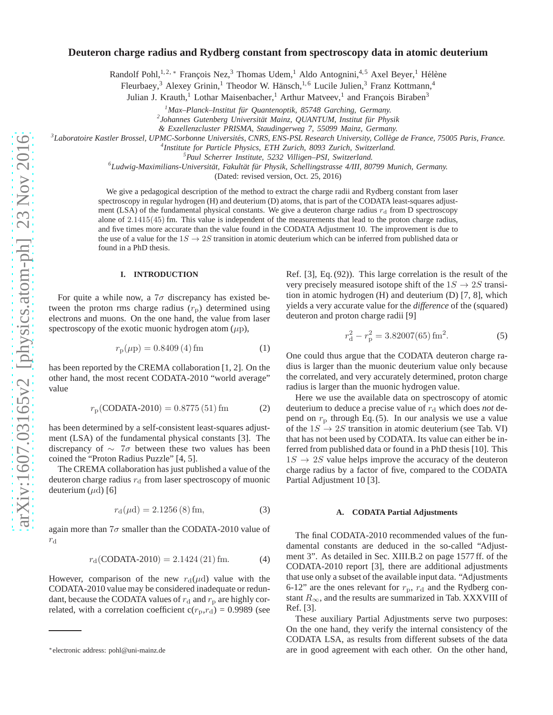# **Deuteron charge radius and Rydberg constant from spectroscopy data in atomic deuterium**

Randolf Pohl,<sup>1,2,\*</sup> François Nez,<sup>3</sup> Thomas Udem,<sup>1</sup> Aldo Antognini,<sup>4,5</sup> Axel Beyer,<sup>1</sup> Hélène

Fleurbaey,<sup>3</sup> Alexey Grinin,<sup>1</sup> Theodor W. Hänsch,<sup>1,6</sup> Lucile Julien,<sup>3</sup> Franz Kottmann,<sup>4</sup>

Julian J. Krauth,<sup>1</sup> Lothar Maisenbacher,<sup>1</sup> Arthur Matveev,<sup>1</sup> and François Biraben<sup>3</sup>

*<sup>1</sup>Max–Planck–Institut f¨ur Quantenoptik, 85748 Garching, Germany.*

<sup>2</sup> Johannes Gutenberg Universität Mainz, QUANTUM, Institut für Physik

*& Exzellenzcluster PRISMA, Staudingerweg 7, 55099 Mainz, Germany.*

<sup>3</sup> Laboratoire Kastler Brossel, UPMC-Sorbonne Universités, CNRS, ENS-PSL Research University, Collège de France, 75005 Paris, France.

*4 Institute for Particle Physics, ETH Zurich, 8093 Zurich, Switzerland.*

*<sup>5</sup>Paul Scherrer Institute, 5232 Villigen–PSI, Switzerland.*

<sup>6</sup>Ludwig-Maximilians-Universität, Fakultät für Physik, Schellingstrasse 4/III, 80799 Munich, Germany.

(Dated: revised version, Oct. 25, 2016)

We give a pedagogical description of the method to extract the charge radii and Rydberg constant from laser spectroscopy in regular hydrogen (H) and deuterium (D) atoms, that is part of the CODATA least-squares adjustment (LSA) of the fundamental physical constants. We give a deuteron charge radius  $r_d$  from D spectroscopy alone of 2.1415(45) fm. This value is independent of the measurements that lead to the proton charge radius, and five times more accurate than the value found in the CODATA Adjustment 10. The improvement is due to the use of a value for the  $1S \rightarrow 2S$  transition in atomic deuterium which can be inferred from published data or found in a PhD thesis.

### **I. INTRODUCTION**

For quite a while now, a  $7\sigma$  discrepancy has existed between the proton rms charge radius  $(r<sub>p</sub>)$  determined using electrons and muons. On the one hand, the value from laser spectroscopy of the exotic muonic hydrogen atom  $(\mu p)$ ,

$$
r_{\rm p}(\mu \rm p) = 0.8409 \, (4) \, \rm fm \tag{1}
$$

has been reported by the CREMA collaboration [1, 2]. On the other hand, the most recent CODATA-2010 "world average" value

$$
r_{\rm p}(\text{CODATA-2010}) = 0.8775(51)\,\text{fm} \tag{2}
$$

has been determined by a self-consistent least-squares adjustment (LSA) of the fundamental physical constants [3]. The discrepancy of ∼ 7σ between these two values has been coined the "Proton Radius Puzzle" [4, 5].

The CREMA collaboration has just published a value of the deuteron charge radius  $r_d$  from laser spectroscopy of muonic deuterium  $(\mu d)$  [6]

$$
r_{\rm d}(\mu d) = 2.1256(8) \,\text{fm},\tag{3}
$$

again more than  $7\sigma$  smaller than the CODATA-2010 value of  $r_{\rm d}$ 

$$
r_{\rm d}(\text{CODATA-2010}) = 2.1424\,(21)\,\text{fm}.\tag{4}
$$

However, comparison of the new  $r_d(\mu d)$  value with the CODATA-2010 value may be considered inadequate or redundant, because the CODATA values of  $r_d$  and  $r_p$  are highly correlated, with a correlation coefficient  $c(r_p, r_d) = 0.9989$  (see

Ref. [3], Eq. (92)). This large correlation is the result of the very precisely measured isotope shift of the  $1S \rightarrow 2S$  transition in atomic hydrogen (H) and deuterium (D) [7, 8], which yields a very accurate value for the *difference* of the (squared) deuteron and proton charge radii [9]

$$
r_{\rm d}^2 - r_{\rm p}^2 = 3.82007(65) \,\text{fm}^2. \tag{5}
$$

One could thus argue that the CODATA deuteron charge radius is larger than the muonic deuterium value only because the correlated, and very accurately determined, proton charge radius is larger than the muonic hydrogen value.

Here we use the available data on spectroscopy of atomic deuterium to deduce a precise value of  $r_d$  which does *not* depend on  $r<sub>p</sub>$  through Eq. (5). In our analysis we use a value of the  $1S \rightarrow 2S$  transition in atomic deuterium (see Tab. VI) that has not been used by CODATA. Its value can either be inferred from published data or found in a PhD thesis [10]. This  $1S \rightarrow 2S$  value helps improve the accuracy of the deuteron charge radius by a factor of five, compared to the CODATA Partial Adjustment 10 [3].

#### **A. CODATA Partial Adjustments**

The final CODATA-2010 recommended values of the fundamental constants are deduced in the so-called "Adjustment 3". As detailed in Sec. XIII.B.2 on page 1577 ff. of the CODATA-2010 report [3], there are additional adjustments that use only a subset of the available input data. "Adjustments 6-12" are the ones relevant for  $r_{\rm p}$ ,  $r_{\rm d}$  and the Rydberg constant  $R_{\infty}$ , and the results are summarized in Tab. XXXVIII of Ref. [3].

These auxiliary Partial Adjustments serve two purposes: On the one hand, they verify the internal consistency of the CODATA LSA, as results from different subsets of the data are in good agreement with each other. On the other hand,

<sup>∗</sup>electronic address: pohl@uni-mainz.de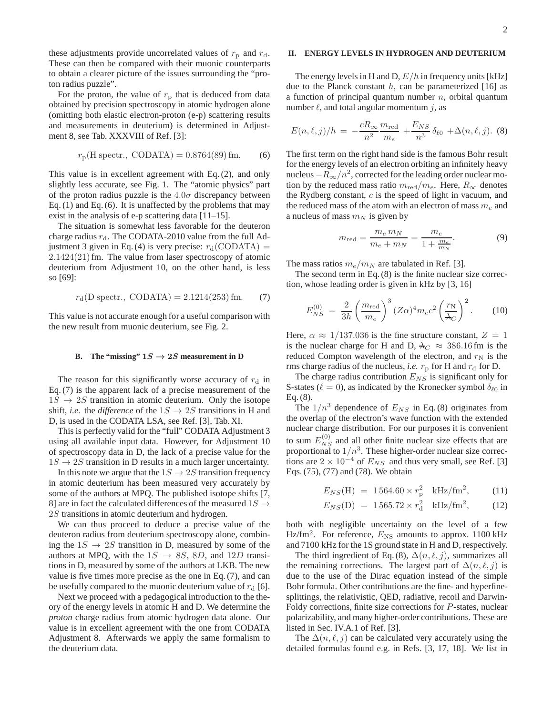these adjustments provide uncorrelated values of  $r_p$  and  $r_d$ . These can then be compared with their muonic counterparts to obtain a clearer picture of the issues surrounding the "proton radius puzzle".

For the proton, the value of  $r_p$  that is deduced from data obtained by precision spectroscopy in atomic hydrogen alone (omitting both elastic electron-proton (e-p) scattering results and measurements in deuterium) is determined in Adjustment 8, see Tab. XXXVIII of Ref. [3]:

$$
r_{\rm p}
$$
(H spectra., CODATA) = 0.8764(89) fm. (6)

This value is in excellent agreement with Eq. (2), and only slightly less accurate, see Fig. 1. The "atomic physics" part of the proton radius puzzle is the  $4.0\sigma$  discrepancy between Eq. (1) and Eq. (6). It is unaffected by the problems that may exist in the analysis of e-p scattering data [11–15].

The situation is somewhat less favorable for the deuteron charge radius  $r_d$ . The CODATA-2010 value from the full Adjustment 3 given in Eq. (4) is very precise:  $r_d$ (CODATA) = 2.1424(21)fm. The value from laser spectroscopy of atomic deuterium from Adjustment 10, on the other hand, is less so [69]:

$$
r_d(D \text{ spectra.}) = 2.1214(253) \text{ fm.}
$$
 (7)

This value is not accurate enough for a useful comparison with the new result from muonic deuterium, see Fig. 2.

# **B.** The "missing"  $1S \rightarrow 2S$  measurement in D

The reason for this significantly worse accuracy of  $r_d$  in Eq. (7) is the apparent lack of a precise measurement of the  $1S \rightarrow 2S$  transition in atomic deuterium. Only the isotope shift, *i.e.* the *difference* of the  $1S \rightarrow 2S$  transitions in H and D, is used in the CODATA LSA, see Ref. [3], Tab. XI.

This is perfectly valid for the "full" CODATA Adjustment 3 using all available input data. However, for Adjustment 10 of spectroscopy data in D, the lack of a precise value for the  $1S \rightarrow 2S$  transition in D results in a much larger uncertainty.

In this note we argue that the  $1S \rightarrow 2S$  transition frequency in atomic deuterium has been measured very accurately by some of the authors at MPQ. The published isotope shifts [7, 8] are in fact the calculated differences of the measured  $1S \rightarrow$ 2S transitions in atomic deuterium and hydrogen.

We can thus proceed to deduce a precise value of the deuteron radius from deuterium spectroscopy alone, combining the  $1S \rightarrow 2S$  transition in D, measured by some of the authors at MPQ, with the  $1S \rightarrow 8S$ , 8D, and  $12D$  transitions in D, measured by some of the authors at LKB. The new value is five times more precise as the one in Eq. (7), and can be usefully compared to the muonic deuterium value of  $r_d$  [6].

Next we proceed with a pedagogical introduction to the theory of the energy levels in atomic H and D. We determine the *proton* charge radius from atomic hydrogen data alone. Our value is in excellent agreement with the one from CODATA Adjustment 8. Afterwards we apply the same formalism to the deuterium data.

# **II. ENERGY LEVELS IN HYDROGEN AND DEUTERIUM**

The energy levels in H and D,  $E/h$  in frequency units [kHz] due to the Planck constant  $h$ , can be parameterized [16] as a function of principal quantum number  $n$ , orbital quantum number  $\ell$ , and total angular momentum  $j$ , as

$$
E(n,\ell,j)/h = -\frac{cR_{\infty}}{n^2} \frac{m_{\text{red}}}{m_e} + \frac{E_{NS}}{n^3} \delta_{\ell 0} + \Delta(n,\ell,j). \tag{8}
$$

The first term on the right hand side is the famous Bohr result for the energy levels of an electron orbiting an infinitely heavy nucleus  $-R_{\infty}/n^2$ , corrected for the leading order nuclear motion by the reduced mass ratio  $m_{\text{red}}/m_e$ . Here,  $R_{\infty}$  denotes the Rydberg constant,  $c$  is the speed of light in vacuum, and the reduced mass of the atom with an electron of mass  $m_e$  and a nucleus of mass  $m_N$  is given by

$$
m_{\text{red}} = \frac{m_e \, m_N}{m_e + m_N} = \frac{m_e}{1 + \frac{m_e}{m_N}}.\tag{9}
$$

The mass ratios  $m_e/m_N$  are tabulated in Ref. [3].

The second term in Eq. (8) is the finite nuclear size correction, whose leading order is given in kHz by [3, 16]

$$
E_{NS}^{(0)} = \frac{2}{3h} \left(\frac{m_{\text{red}}}{m_e}\right)^3 (Z\alpha)^4 m_e c^2 \left(\frac{r_N}{\lambda_C}\right)^2.
$$
 (10)

Here,  $\alpha \approx 1/137.036$  is the fine structure constant,  $Z = 1$ is the nuclear charge for H and D,  $\lambda_C \approx 386.16$  fm is the reduced Compton wavelength of the electron, and  $r_N$  is the rms charge radius of the nucleus, *i.e.*  $r_p$  for H and  $r_d$  for D.

The charge radius contribution  $E_{NS}$  is significant only for S-states ( $\ell = 0$ ), as indicated by the Kronecker symbol  $\delta_{\ell 0}$  in Eq. (8).

The  $1/n^3$  dependence of  $E_{NS}$  in Eq. (8) originates from the overlap of the electron's wave function with the extended nuclear charge distribution. For our purposes it is convenient to sum  $E_{NS}^{(0)}$  and all other finite nuclear size effects that are proportional to  $1/n<sup>3</sup>$ . These higher-order nuclear size corrections are  $2 \times 10^{-4}$  of  $E_{NS}$  and thus very small, see Ref. [3] Eqs. (75), (77) and (78). We obtain

$$
E_{NS}(\text{H}) = 1564.60 \times r_p^2 \quad \text{kHz/fm}^2, \tag{11}
$$

$$
E_{NS}(D) = 1565.72 \times r_d^2 \text{ kHz/fm}^2, \quad (12)
$$

both with negligible uncertainty on the level of a few Hz/fm<sup>2</sup>. For reference,  $E_{\text{NS}}$  amounts to approx. 1100 kHz and 7100 kHz for the 1S ground state in H and D, respectively.

The third ingredient of Eq. (8),  $\Delta(n, \ell, j)$ , summarizes all the remaining corrections. The largest part of  $\Delta(n, \ell, j)$  is due to the use of the Dirac equation instead of the simple Bohr formula. Other contributions are the fine- and hyperfinesplittings, the relativistic, QED, radiative, recoil and Darwin-Foldy corrections, finite size corrections for P-states, nuclear polarizability, and many higher-order contributions. These are listed in Sec. IV.A.1 of Ref. [3].

The  $\Delta(n,\ell, j)$  can be calculated very accurately using the detailed formulas found e.g. in Refs. [3, 17, 18]. We list in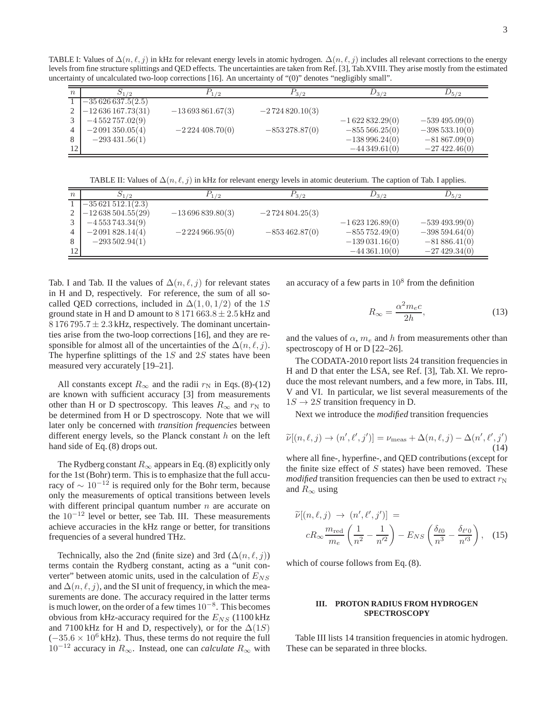TABLE I: Values of  $\Delta(n, \ell, j)$  in kHz for relevant energy levels in atomic hydrogen.  $\Delta(n, \ell, j)$  includes all relevant corrections to the energy levels from fine structure splittings and QED effects. The uncertainties are taken from Ref. [3], Tab.XVIII. They arise mostly from the estimated uncertainty of uncalculated two-loop corrections [16]. An uncertainty of "(0)" denotes "negligibly small".

| $\boldsymbol{n}$ | $D_1/2$            | $^{1/2}$          | $P_{3/2}$        | $D_{3/2}$        | $\nu_{5/2}$       |
|------------------|--------------------|-------------------|------------------|------------------|-------------------|
|                  | $-35626637.5(2.5)$ |                   |                  |                  |                   |
|                  | $-12636167.73(31)$ | $-13693861.67(3)$ | $-2724820.10(3)$ |                  |                   |
| 3                | $-4552757.02(9)$   |                   |                  | $-1622832.29(0)$ | $-539\,495.09(0)$ |
| 4                | $-2091350.05(4)$   | $-2224408.70(0)$  | $-853278.87(0)$  | $-855566.25(0)$  | $-398533.10(0)$   |
| 8                | $-293431.56(1)$    |                   |                  | $-138996.24(0)$  | $-81867.09(0)$    |
| 12 <sup>1</sup>  |                    |                   |                  | $-44349.61(0)$   | $-27422.46(0)$    |

TABLE II: Values of  $\Delta(n, \ell, j)$  in kHz for relevant energy levels in atomic deuterium. The caption of Tab. I applies.

| $\boldsymbol{n}$ | $D_{1/2}$          | 1/2               | $P_{3/2}$        | $D_{3/2}$        | $D_{5/2}$       |
|------------------|--------------------|-------------------|------------------|------------------|-----------------|
|                  | $-35621512.1(2.3)$ |                   |                  |                  |                 |
| $\gamma$         | $-12638504.55(29)$ | $-13696839.80(3)$ | $-2724804.25(3)$ |                  |                 |
| 3                | $-4553743.34(9)$   |                   |                  | $-1623126.89(0)$ | $-539493.99(0)$ |
| 4                | $-2091828.14(4)$   | $-2224966.95(0)$  | $-853462.87(0)$  | $-855752.49(0)$  | $-398594.64(0)$ |
| 8                | $-293502.94(1)$    |                   |                  | $-139031.16(0)$  | $-81886.41(0)$  |
| 12               |                    |                   |                  | $-44361.10(0)$   | $-27429.34(0)$  |

Tab. I and Tab. II the values of  $\Delta(n, \ell, j)$  for relevant states in H and D, respectively. For reference, the sum of all socalled QED corrections, included in  $\Delta(1, 0, 1/2)$  of the 1S ground state in H and D amount to  $8\,171\,663.8 \pm 2.5$  kHz and  $8176795.7 \pm 2.3$  kHz, respectively. The dominant uncertainties arise from the two-loop corrections [16], and they are responsible for almost all of the uncertainties of the  $\Delta(n, \ell, i)$ . The hyperfine splittings of the  $1S$  and  $2S$  states have been measured very accurately [19–21].

All constants except  $R_{\infty}$  and the radii  $r_N$  in Eqs. (8)-(12) are known with sufficient accuracy [3] from measurements other than H or D spectroscopy. This leaves  $R_{\infty}$  and  $r_N$  to be determined from H or D spectroscopy. Note that we will later only be concerned with *transition frequencies* between different energy levels, so the Planck constant  $h$  on the left hand side of Eq. (8) drops out.

The Rydberg constant  $R_{\infty}$  appears in Eq. (8) explicitly only for the 1st (Bohr) term. This is to emphasize that the full accuracy of  $\sim 10^{-12}$  is required only for the Bohr term, because only the measurements of optical transitions between levels with different principal quantum number  $n$  are accurate on the 10<sup>−</sup><sup>12</sup> level or better, see Tab. III. These measurements achieve accuracies in the kHz range or better, for transitions frequencies of a several hundred THz.

Technically, also the 2nd (finite size) and 3rd  $(\Delta(n, \ell, j))$ terms contain the Rydberg constant, acting as a "unit converter" between atomic units, used in the calculation of  $E_{NS}$ and  $\Delta(n, \ell, j)$ , and the SI unit of frequency, in which the measurements are done. The accuracy required in the latter terms is much lower, on the order of a few times  $10^{-8}$ . This becomes obvious from kHz-accuracy required for the  $E_{NS}$  (1100 kHz and 7100 kHz for H and D, respectively), or for the  $\Delta(1S)$  $(-35.6 \times 10^6 \text{ kHz})$ . Thus, these terms do not require the full  $10^{-12}$  accuracy in  $R_{\infty}$ . Instead, one can *calculate*  $R_{\infty}$  with

an accuracy of a few parts in  $10<sup>8</sup>$  from the definition

$$
R_{\infty} = \frac{\alpha^2 m_e c}{2h},\tag{13}
$$

and the values of  $\alpha$ ,  $m_e$  and h from measurements other than spectroscopy of H or D [22–26].

The CODATA-2010 report lists 24 transition frequencies in H and D that enter the LSA, see Ref. [3], Tab. XI. We reproduce the most relevant numbers, and a few more, in Tabs. III, V and VI. In particular, we list several measurements of the  $1S \rightarrow 2S$  transition frequency in D.

Next we introduce the *modified* transition frequencies

$$
\widetilde{\nu}[(n,\ell,j) \to (n',\ell',j')] = \nu_{\text{meas}} + \Delta(n,\ell,j) - \Delta(n',\ell',j')
$$
\n(14)

where all fine-, hyperfine-, and QED contributions (except for the finite size effect of  $S$  states) have been removed. These *modified* transition frequencies can then be used to extract  $r_N$ and  $R_{\infty}$  using

$$
\widetilde{\nu}[(n,\ell,j) \to (n',\ell',j')] =
$$
\n
$$
cR_{\infty} \frac{m_{\text{red}}}{m_e} \left(\frac{1}{n^2} - \frac{1}{n'^2}\right) - E_{NS} \left(\frac{\delta_{\ell 0}}{n^3} - \frac{\delta_{\ell' 0}}{n'^3}\right), \quad (15)
$$

which of course follows from Eq. (8).

# **III. PROTON RADIUS FROM HYDROGEN SPECTROSCOPY**

Table III lists 14 transition frequencies in atomic hydrogen. These can be separated in three blocks.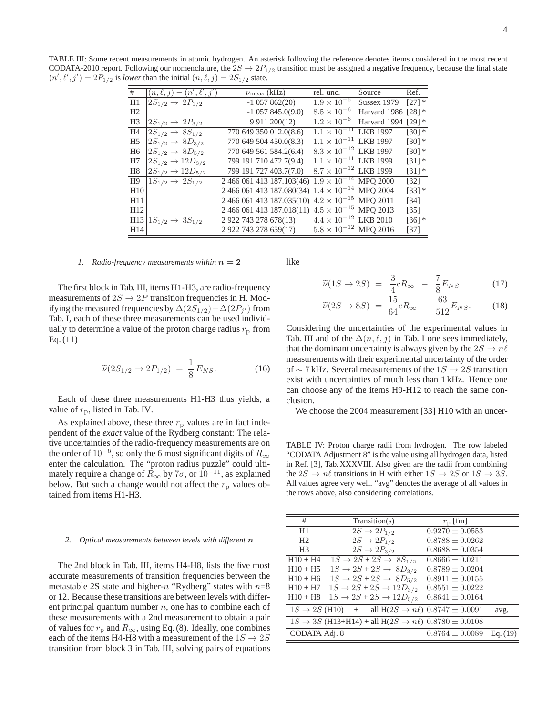TABLE III: Some recent measurements in atomic hydrogen. An asterisk following the reference denotes items considered in the most recent CODATA-2010 report. Following our nomenclature, the  $2S \rightarrow 2P_{1/2}$  transition must be assigned a negative frequency, because the final state  $(n', \ell', j') = 2P_{1/2}$  is *lower* than the initial  $(n, \ell, j) = 2S_{1/2}$  state.

| #               | $(n,\ell,j)-\overline{(n',\ell',j')}$ | $\nu_{\rm meas}$ (kHz)                                   | rel. unc.                      | Source              | Ref.              |
|-----------------|---------------------------------------|----------------------------------------------------------|--------------------------------|---------------------|-------------------|
| H1              | $2S_{1/2} \rightarrow 2P_{1/2}$       | $-1$ 057 862(20)                                         | $1.9 \times 10^{-5}$           | <b>Sussex 1979</b>  | $[27]$ *          |
| H <sub>2</sub>  |                                       | $-1$ 057 845.0(9.0)                                      | $8.5 \times 10^{-6}$           | Harvard 1986 [28] * |                   |
| H <sub>3</sub>  | $2S_{1/2} \rightarrow 2P_{3/2}$       | 9 9 11 200 (12)                                          | $1.2 \times 10^{-6}$           | Harvard 1994        | $[29]$ *          |
| H <sub>4</sub>  | $2S_{1/2} \rightarrow 8S_{1/2}$       | 770 649 350 012.0(8.6)                                   | $1.1 \times 10^{-11}$ LKB 1997 |                     | $[30]$ *          |
| H <sub>5</sub>  | $2S_{1/2} \rightarrow 8D_{3/2}$       | 770 649 504 450.0(8.3)                                   | $1.1 \times 10^{-11}$ LKB 1997 |                     | $[30]$ *          |
| H <sub>6</sub>  | $2S_{1/2} \rightarrow 8D_{5/2}$       | 770 649 561 584.2(6.4)                                   | $8.3 \times 10^{-12}$ LKB 1997 |                     | $[30]$ *          |
| H7              | $2S_{1/2} \rightarrow 12D_{3/2}$      | 799 191 710 472.7(9.4)                                   | $1.1 \times 10^{-11}$ LKB 1999 |                     | $[31]$ *          |
| H8              | $2S_{1/2} \rightarrow 12D_{5/2}$      | 799 191 727 403.7(7.0)                                   | $8.7 \times 10^{-12}$ LKB 1999 |                     | $[31]$ *          |
| H <sub>9</sub>  | $1S_{1/2} \rightarrow 2S_{1/2}$       | 2 466 061 413 187.103(46) $1.9 \times 10^{-14}$ MPQ 2000 |                                |                     | $\left[32\right]$ |
| H10             |                                       | 2 466 061 413 187.080(34) $1.4 \times 10^{-14}$ MPQ 2004 |                                |                     | $[33]$ *          |
| H <sub>11</sub> |                                       | 2 466 061 413 187.035(10) $4.2 \times 10^{-15}$ MPQ 2011 |                                |                     | [34]              |
| H12             |                                       | 2 466 061 413 187.018(11) $4.5 \times 10^{-15}$ MPQ 2013 |                                |                     | [35]              |
|                 | $H13 1S_{1/2} \rightarrow 3S_{1/2}$   | 2 922 743 278 678(13)                                    | $4.4 \times 10^{-12}$ LKB 2010 |                     | $[36]$ *          |
| H14             |                                       | 2 922 743 278 659(17)                                    | $5.8 \times 10^{-12}$ MPQ 2016 |                     | $[37]$            |

#### *1.* Radio-frequency measurements within  $n = 2$

The first block in Tab. III, items H1-H3, are radio-frequency measurements of  $2S \rightarrow 2P$  transition frequencies in H. Modifying the measured frequencies by  $\Delta(2S_{1/2}^{\bullet}) - \Delta(2P_{j'})$  from Tab. I, each of these three measurements can be used individually to determine a value of the proton charge radius  $r_p$  from Eq. (11)

$$
\widetilde{\nu}(2S_{1/2} \to 2P_{1/2}) = \frac{1}{8} E_{NS}.
$$
 (16)

Each of these three measurements H1-H3 thus yields, a value of  $r_p$ , listed in Tab. IV.

As explained above, these three  $r<sub>p</sub>$  values are in fact independent of the *exact* value of the Rydberg constant: The relative uncertainties of the radio-frequency measurements are on the order of  $10^{-6}$ , so only the 6 most significant digits of  $R_{\infty}$ enter the calculation. The "proton radius puzzle" could ultimately require a change of  $R_{\infty}$  by  $7\sigma$ , or  $10^{-11}$ , as explained below. But such a change would not affect the  $r_p$  values obtained from items H1-H3.

#### *2. Optical measurements between levels with different* n

The 2nd block in Tab. III, items H4-H8, lists the five most accurate measurements of transition frequencies between the metastable 2S state and higher-n "Rydberg" states with  $n=8$ or 12. Because these transitions are between levels with different principal quantum number  $n$ , one has to combine each of these measurements with a 2nd measurement to obtain a pair of values for  $r_p$  and  $R_{\infty}$ , using Eq. (8). Ideally, one combines each of the items H4-H8 with a measurement of the  $1S \rightarrow 2S$ transition from block 3 in Tab. III, solving pairs of equations

like

$$
\widetilde{\nu}(1S \to 2S) = \frac{3}{4}cR_{\infty} - \frac{7}{8}E_{NS}
$$
\n(17)

$$
\widetilde{\nu}(2S \to 8S) = \frac{15}{64}cR_{\infty} - \frac{63}{512}E_{NS}.
$$
 (18)

Considering the uncertainties of the experimental values in Tab. III and of the  $\Delta(n, \ell, j)$  in Tab. I one sees immediately, that the dominant uncertainty is always given by the  $2S \rightarrow n\ell$ measurements with their experimental uncertainty of the order of ∼ 7 kHz. Several measurements of the  $1S \rightarrow 2S$  transition exist with uncertainties of much less than 1 kHz. Hence one can choose any of the items H9-H12 to reach the same conclusion.

We choose the 2004 measurement [33] H10 with an uncer-

TABLE IV: Proton charge radii from hydrogen. The row labeled "CODATA Adjustment 8" is the value using all hydrogen data, listed in Ref. [3], Tab. XXXVIII. Also given are the radii from combining the  $2S \rightarrow n\ell$  transitions in H with either  $1S \rightarrow 2S$  or  $1S \rightarrow 3S$ . All values agree very well. "avg" denotes the average of all values in the rows above, also considering correlations.

| #              | Transition(s)                                                                  | $r_{\rm p}$ [fm]    |          |
|----------------|--------------------------------------------------------------------------------|---------------------|----------|
| H1             | $2S \rightarrow 2P_{1/2}$                                                      | $0.9270 \pm 0.0553$ |          |
| H <sub>2</sub> | $2S \rightarrow 2P_{1/2}$                                                      | $0.8788 \pm 0.0262$ |          |
| H <sub>3</sub> | $2S \rightarrow 2P_{3/2}$                                                      | $0.8688 \pm 0.0354$ |          |
| $H10 + H4$     | $1S \rightarrow 2S + 2S \rightarrow 8S_{1/2}$                                  | $0.8666 \pm 0.0211$ |          |
| $H10 + H5$     | $1S \rightarrow 2S + 2S \rightarrow 8D_{3/2}$                                  | $0.8789 \pm 0.0204$ |          |
| $H10 + H6$     | $1S \rightarrow 2S + 2S \rightarrow 8D_{5/2}$                                  | $0.8911 \pm 0.0155$ |          |
| $H10 + H7$     | $1S \rightarrow 2S + 2S \rightarrow 12D_{3/2}$                                 | $0.8551 \pm 0.0222$ |          |
| $H10 + H8$     | $1S \rightarrow 2S + 2S \rightarrow 12D_{5/2}$                                 | $0.8641 \pm 0.0164$ |          |
|                | $1S \to 2S$ (H10) + all H(2S $\to n\ell$ ) 0.8747 $\pm$ 0.0091                 |                     | avg.     |
|                | $1S \rightarrow 3S$ (H13+H14) + all H(2S $\rightarrow n\ell$ ) 0.8780 ± 0.0108 |                     |          |
| CODATA Adj. 8  |                                                                                | $0.8764 \pm 0.0089$ | Eq. (19) |
|                |                                                                                |                     |          |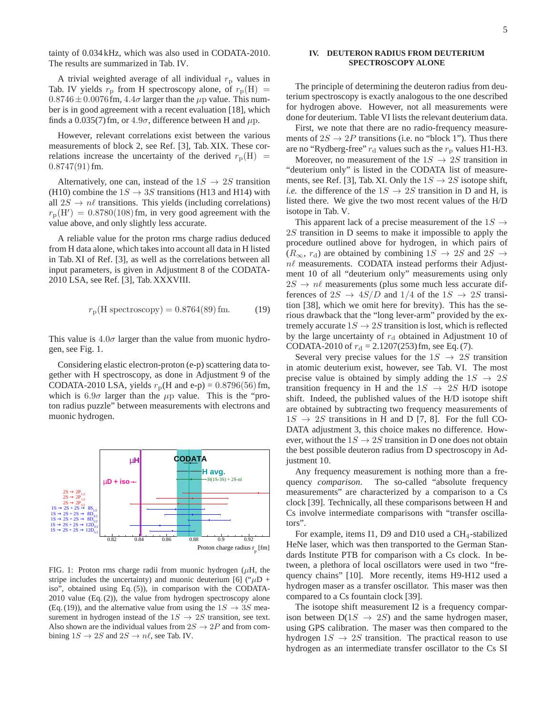tainty of 0.034 kHz, which was also used in CODATA-2010. The results are summarized in Tab. IV.

A trivial weighted average of all individual  $r<sub>p</sub>$  values in Tab. IV yields  $r_p$  from H spectroscopy alone, of  $r_p(H)$  =  $0.8746 \pm 0.0076$  fm,  $4.4\sigma$  larger than the  $\mu$ p value. This number is in good agreement with a recent evaluation [18], which finds a 0.035(7) fm, or  $4.9\sigma$ , difference between H and  $\mu$ p.

However, relevant correlations exist between the various measurements of block 2, see Ref. [3], Tab. XIX. These correlations increase the uncertainty of the derived  $r_p(H)$  =  $0.8747(91)$  fm.

Alternatively, one can, instead of the  $1S \rightarrow 2S$  transition (H10) combine the  $1S \rightarrow 3S$  transitions (H13 and H14) with all  $2S \rightarrow n\ell$  transitions. This yields (including correlations)  $r_{\rm p}$ (H') = 0.8780(108) fm, in very good agreement with the value above, and only slightly less accurate.

A reliable value for the proton rms charge radius deduced from H data alone, which takes into account all data in H listed in Tab. XI of Ref. [3], as well as the correlations between all input parameters, is given in Adjustment 8 of the CODATA-2010 LSA, see Ref. [3], Tab. XXXVIII.

$$
r_p(H \text{ spectroscopy}) = 0.8764(89) \text{ fm.}
$$
 (19)

This value is  $4.0\sigma$  larger than the value from muonic hydrogen, see Fig. 1.

Considering elastic electron-proton (e-p) scattering data together with H spectroscopy, as done in Adjustment 9 of the CODATA-2010 LSA, yields  $r<sub>p</sub>(H$  and e-p) = 0.8796(56) fm, which is  $6.9\sigma$  larger than the  $\mu$ p value. This is the "proton radius puzzle" between measurements with electrons and muonic hydrogen.



FIG. 1: Proton rms charge radii from muonic hydrogen  $(\mu H, t)$ stripe includes the uncertainty) and muonic deuterium [6] (" $\mu$ D + iso", obtained using Eq. (5)), in comparison with the CODATA-2010 value (Eq. (2)), the value from hydrogen spectroscopy alone (Eq. (19)), and the alternative value from using the  $1S \rightarrow 3S$  measurement in hydrogen instead of the  $1S \rightarrow 2S$  transition, see text. Also shown are the individual values from  $2S \rightarrow 2P$  and from combining  $1S \rightarrow 2S$  and  $2S \rightarrow n\ell$ , see Tab. IV.

# **IV. DEUTERON RADIUS FROM DEUTERIUM SPECTROSCOPY ALONE**

The principle of determining the deuteron radius from deuterium spectroscopy is exactly analogous to the one described for hydrogen above. However, not all measurements were done for deuterium. Table VI lists the relevant deuterium data.

First, we note that there are no radio-frequency measurements of  $2S \rightarrow 2P$  transitions (i.e. no "block 1"). Thus there are no "Rydberg-free"  $r_d$  values such as the  $r_p$  values H1-H3.

Moreover, no measurement of the  $1S \rightarrow 2S$  transition in "deuterium only" is listed in the CODATA list of measurements, see Ref. [3], Tab. XI. Only the  $1S \rightarrow 2S$  isotope shift, *i.e.* the difference of the  $1S \rightarrow 2S$  transition in D and H, is listed there. We give the two most recent values of the H/D isotope in Tab. V.

This apparent lack of a precise measurement of the  $1S \rightarrow$ 2S transition in D seems to make it impossible to apply the procedure outlined above for hydrogen, in which pairs of  $(R_{\infty}, r_{\rm d})$  are obtained by combining  $1S \rightarrow 2S$  and  $2S \rightarrow$  $n\ell$  measurements. CODATA instead performs their Adjustment 10 of all "deuterium only" measurements using only  $2S \rightarrow n\ell$  measurements (plus some much less accurate differences of  $2S \rightarrow 4S/D$  and  $1/4$  of the  $1S \rightarrow 2S$  transition [38], which we omit here for brevity). This has the serious drawback that the "long lever-arm" provided by the extremely accurate  $1S \rightarrow 2S$  transition is lost, which is reflected by the large uncertainty of  $r_d$  obtained in Adjustment 10 of CODATA-2010 of  $r_d = 2.1207(253)$  fm, see Eq. (7).

Several very precise values for the  $1S \rightarrow 2S$  transition in atomic deuterium exist, however, see Tab. VI. The most precise value is obtained by simply adding the  $1S \rightarrow 2S$ transition frequency in H and the  $1S \rightarrow 2S$  H/D isotope shift. Indeed, the published values of the H/D isotope shift are obtained by subtracting two frequency measurements of  $1S \rightarrow 2S$  transitions in H and D [7, 8]. For the full CO-DATA adjustment 3, this choice makes no difference. However, without the  $1S \rightarrow 2S$  transition in D one does not obtain the best possible deuteron radius from D spectroscopy in Adjustment 10.

Any frequency measurement is nothing more than a frequency *comparison*. The so-called "absolute frequency measurements" are characterized by a comparison to a Cs clock [39]. Technically, all these comparisons between H and Cs involve intermediate comparisons with "transfer oscillators".

For example, items I1, D9 and D10 used a CH<sub>4</sub>-stabilized HeNe laser, which was then transported to the German Standards Institute PTB for comparison with a Cs clock. In between, a plethora of local oscillators were used in two "frequency chains" [10]. More recently, items H9-H12 used a hydrogen maser as a transfer oscillator. This maser was then compared to a Cs fountain clock [39].

The isotope shift measurement I2 is a frequency comparison between  $D(1S \rightarrow 2S)$  and the same hydrogen maser, using GPS calibration. The maser was then compared to the hydrogen  $1S \rightarrow 2S$  transition. The practical reason to use hydrogen as an intermediate transfer oscillator to the Cs SI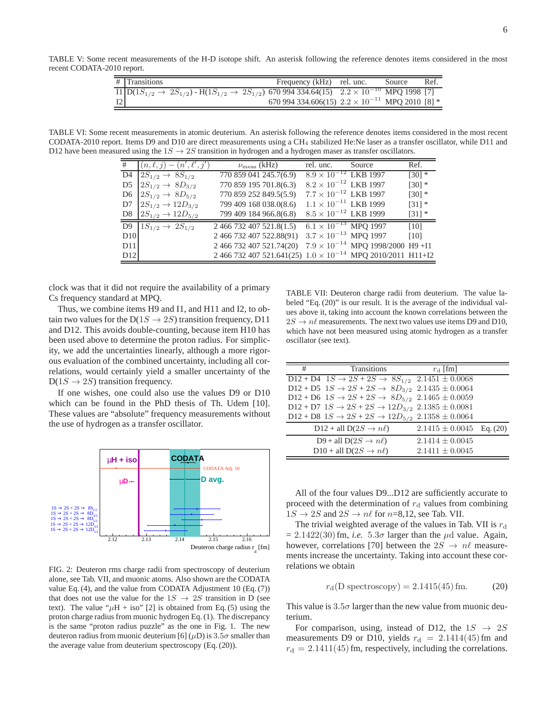TABLE V: Some recent measurements of the H-D isotope shift. An asterisk following the reference denotes items considered in the most recent CODATA-2010 report.

|    | $\#$ Transitions |                                                                                                                                                                                      | Frequency (kHz) rel. unc.                                | Source | Ref. |
|----|------------------|--------------------------------------------------------------------------------------------------------------------------------------------------------------------------------------|----------------------------------------------------------|--------|------|
|    |                  | $\frac{\Pi \left[ D(1S_{1/2} \rightarrow 2S_{1/2}) - H(1S_{1/2} \rightarrow 2S_{1/2}) \right. 670\,994\,334.64(15) \quad 2.2 \times 10^{-10} \text{ MPQ } 1998 \text{ [7]} \right]}$ |                                                          |        |      |
| 12 |                  |                                                                                                                                                                                      | 670 994 334.606(15) $2.2 \times 10^{-11}$ MPQ 2010 [8] * |        |      |

TABLE VI: Some recent measurements in atomic deuterium. An asterisk following the reference denotes items considered in the most recent CODATA-2010 report. Items D9 and D10 are direct measurements using a CH<sup>4</sup> stabilized He:Ne laser as a transfer oscillator, while D11 and D12 have been measured using the  $1S \rightarrow 2S$  transition in hydrogen and a hydrogen maser as transfer oscillators.

| #              | $(n,\ell,j) - (n',\ell',j')$     | $\nu_{\text{meas}}$ (kHz)                                            | rel. unc.                      | Source                                     | Ref.     |
|----------------|----------------------------------|----------------------------------------------------------------------|--------------------------------|--------------------------------------------|----------|
| D4             | $2S_{1/2} \rightarrow 8S_{1/2}$  | 770 859 041 245.7(6.9)                                               | $8.9 \times 10^{-12}$ LKB 1997 |                                            | $[30]$ * |
| D5             | $2S_{1/2} \rightarrow 8D_{3/2}$  | 770 859 195 701.8(6.3)                                               | $8.2 \times 10^{-12}$ LKB 1997 |                                            | $[30]$ * |
| D6             | $2S_{1/2} \rightarrow 8D_{5/2}$  | 770 859 252 849.5(5.9)                                               | $7.7 \times 10^{-12}$ LKB 1997 |                                            | $[30]$ * |
| D7             | $2S_{1/2} \rightarrow 12D_{3/2}$ | 799 409 168 038.0(8.6)                                               | $1.1 \times 10^{-11}$ LKB 1999 |                                            | $[31]$ * |
| D8             | $2S_{1/2} \rightarrow 12D_{5/2}$ | 799 409 184 966.8(6.8)                                               | $8.5 \times 10^{-12}$ LKB 1999 |                                            | $[31]$ * |
| D <sub>9</sub> | $1S_{1/2} \rightarrow 2S_{1/2}$  | 2 466 732 407 521.8(1.5)                                             | $6.1 \times 10^{-13}$ MPQ 1997 |                                            | [10]     |
| D10            |                                  | 2 466 732 407 522.88(91)                                             | $3.7 \times 10^{-13}$ MPQ 1997 |                                            | [10]     |
| D11            |                                  | 2 466 732 407 521.74(20)                                             |                                | $7.9 \times 10^{-14}$ MPQ 1998/2000 H9 +I1 |          |
| D12            |                                  | 2 466 732 407 521.641(25) $1.0 \times 10^{-14}$ MPQ 2010/2011 H11+I2 |                                |                                            |          |

clock was that it did not require the availability of a primary Cs frequency standard at MPQ.

Thus, we combine items H9 and I1, and H11 and I2, to obtain two values for the  $D(1S \rightarrow 2S)$  transition frequency, D11 and D12. This avoids double-counting, because item H10 has been used above to determine the proton radius. For simplicity, we add the uncertainties linearly, although a more rigorous evaluation of the combined uncertainty, including all correlations, would certainly yield a smaller uncertainty of the  $D(1S \rightarrow 2S)$  transition frequency.

If one wishes, one could also use the values D9 or D10 which can be found in the PhD thesis of Th. Udem [10]. These values are "absolute" frequency measurements without the use of hydrogen as a transfer oscillator.



FIG. 2: Deuteron rms charge radii from spectroscopy of deuterium alone, see Tab. VII, and muonic atoms. Also shown are the CODATA value Eq. (4), and the value from CODATA Adjustment 10 (Eq. (7)) that does not use the value for the  $1S \rightarrow 2S$  transition in D (see text). The value " $\mu$ H + iso" [2] is obtained from Eq. (5) using the proton charge radius from muonic hydrogen Eq. (1). The discrepancy is the same "proton radius puzzle" as the one in Fig. 1. The new deuteron radius from muonic deuterium [6]  $(\mu D)$  is 3.5 $\sigma$  smaller than the average value from deuterium spectroscopy (Eq. (20)).

TABLE VII: Deuteron charge radii from deuterium. The value labeled "Eq. (20)" is our result. It is the average of the individual values above it, taking into account the known correlations between the  $2S \rightarrow n\ell$  measurements. The next two values use items D9 and D10, which have not been measured using atomic hydrogen as a transfer oscillator (see text).

| $\overline{D12 + D4}$ $1S \rightarrow 2S + 2S \rightarrow 8S_{1/2}$ $2.1451 \pm 0.0068$<br>$D12 + D5$ $1S \rightarrow 2S + 2S \rightarrow 8D_{3/2}$ $2.1435 \pm 0.0064$<br>D12 + D6 $1S \rightarrow 2S + 2S \rightarrow 8D_{5/2}$ 2.1465 ± 0.0059<br>D12 + D7 $1S \rightarrow 2S + 2S \rightarrow 12D_{3/2}$ 2.1385 ± 0.0081<br>D12 + D8 $1S \rightarrow 2S + 2S \rightarrow 12D_{5/2}$ 2.1358 ± 0.0064<br>$D12 + all D(2S \rightarrow n\ell)$<br>$2.1415 \pm 0.0045$ Eq. (20)<br>D9 + all D( $2S \rightarrow n\ell$ )<br>$2.1414 \pm 0.0045$<br>$D10 + \text{all } D(2S \rightarrow n\ell)$<br>$2.1411 \pm 0.0045$ | # | Transitions | $r_{\rm d}$ [fm] |  |
|---------------------------------------------------------------------------------------------------------------------------------------------------------------------------------------------------------------------------------------------------------------------------------------------------------------------------------------------------------------------------------------------------------------------------------------------------------------------------------------------------------------------------------------------------------------------------------------------------------------------|---|-------------|------------------|--|
|                                                                                                                                                                                                                                                                                                                                                                                                                                                                                                                                                                                                                     |   |             |                  |  |
|                                                                                                                                                                                                                                                                                                                                                                                                                                                                                                                                                                                                                     |   |             |                  |  |
|                                                                                                                                                                                                                                                                                                                                                                                                                                                                                                                                                                                                                     |   |             |                  |  |
|                                                                                                                                                                                                                                                                                                                                                                                                                                                                                                                                                                                                                     |   |             |                  |  |
|                                                                                                                                                                                                                                                                                                                                                                                                                                                                                                                                                                                                                     |   |             |                  |  |
|                                                                                                                                                                                                                                                                                                                                                                                                                                                                                                                                                                                                                     |   |             |                  |  |
|                                                                                                                                                                                                                                                                                                                                                                                                                                                                                                                                                                                                                     |   |             |                  |  |
|                                                                                                                                                                                                                                                                                                                                                                                                                                                                                                                                                                                                                     |   |             |                  |  |

All of the four values D9...D12 are sufficiently accurate to proceed with the determination of  $r_d$  values from combining  $1S \rightarrow 2S$  and  $2S \rightarrow n\ell$  for  $n=8,12$ , see Tab. VII.

The trivial weighted average of the values in Tab. VII is  $r_d$  $= 2.1422(30)$  fm, *i.e.*  $5.3\sigma$  larger than the  $\mu$ d value. Again, however, correlations [70] between the  $2S \rightarrow n\ell$  measurements increase the uncertainty. Taking into account these correlations we obtain

$$
r_d(D \text{ spectroscopy}) = 2.1415(45) \text{ fm.}
$$
 (20)

This value is  $3.5\sigma$  larger than the new value from muonic deuterium.

For comparison, using, instead of D12, the  $1S \rightarrow 2S$ measurements D9 or D10, yields  $r_d = 2.1414(45)$  fm and  $r_d = 2.1411(45)$  fm, respectively, including the correlations.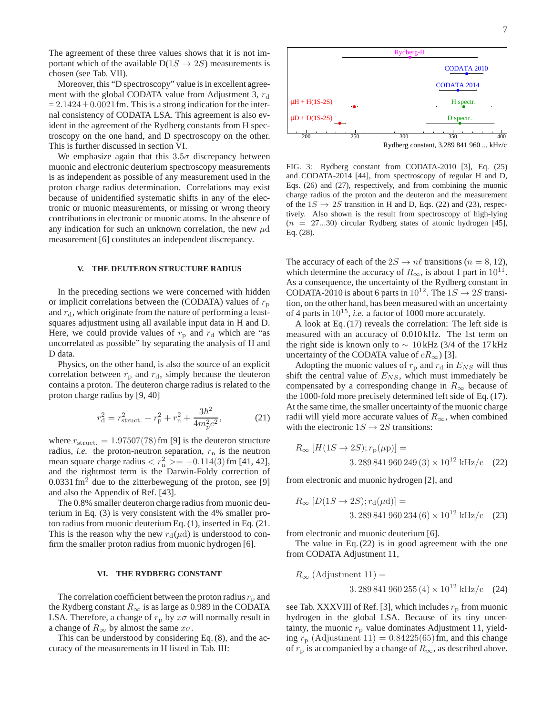The agreement of these three values shows that it is not important which of the available  $D(1S \rightarrow 2S)$  measurements is chosen (see Tab. VII).

Moreover, this "D spectroscopy" value is in excellent agreement with the global CODATA value from Adjustment 3,  $r_d$  $= 2.1424 \pm 0.0021$  fm. This is a strong indication for the internal consistency of CODATA LSA. This agreement is also evident in the agreement of the Rydberg constants from H spectroscopy on the one hand, and D spectroscopy on the other. This is further discussed in section VI.

We emphasize again that this  $3.5\sigma$  discrepancy between muonic and electronic deuterium spectroscopy measurements is as independent as possible of any measurement used in the proton charge radius determination. Correlations may exist because of unidentified systematic shifts in any of the electronic or muonic measurements, or missing or wrong theory contributions in electronic or muonic atoms. In the absence of any indication for such an unknown correlation, the new  $\mu$ d measurement [6] constitutes an independent discrepancy.

### **V. THE DEUTERON STRUCTURE RADIUS**

In the preceding sections we were concerned with hidden or implicit correlations between the (CODATA) values of  $r_{\rm p}$ and  $r<sub>d</sub>$ , which originate from the nature of performing a leastsquares adjustment using all available input data in H and D. Here, we could provide values of  $r<sub>p</sub>$  and  $r<sub>d</sub>$  which are "as uncorrelated as possible" by separating the analysis of H and D data.

Physics, on the other hand, is also the source of an explicit correlation between  $r_p$  and  $r_d$ , simply because the deuteron contains a proton. The deuteron charge radius is related to the proton charge radius by [9, 40]

$$
r_{\rm d}^2 = r_{\rm struct.}^2 + r_{\rm p}^2 + r_{\rm n}^2 + \frac{3\hbar^2}{4m_p^2 c^2},\tag{21}
$$

where  $r_{\text{struct.}} = 1.97507(78)$  fm [9] is the deuteron structure radius, *i.e.* the proton-neutron separation,  $r_n$  is the neutron mean square charge radius  $\langle r_n^2 \rangle = -0.114(3)$  fm [41, 42], and the rightmost term is the Darwin-Foldy correction of  $0.0331$  fm<sup>2</sup> due to the zitterbewegung of the proton, see [9] and also the Appendix of Ref. [43].

The 0.8% smaller deuteron charge radius from muonic deuterium in Eq. (3) is very consistent with the 4% smaller proton radius from muonic deuterium Eq. (1), inserted in Eq. (21. This is the reason why the new  $r_d(\mu d)$  is understood to confirm the smaller proton radius from muonic hydrogen [6].

#### **VI. THE RYDBERG CONSTANT**

The correlation coefficient between the proton radius  $r_{\rm p}$  and the Rydberg constant  $R_{\infty}$  is as large as 0.989 in the CODATA LSA. Therefore, a change of  $r<sub>p</sub>$  by  $x\sigma$  will normally result in a change of  $R_{\infty}$  by almost the same  $x\sigma$ .

This can be understood by considering Eq. (8), and the accuracy of the measurements in H listed in Tab. III:



FIG. 3: Rydberg constant from CODATA-2010 [3], Eq. (25) and CODATA-2014 [44], from spectroscopy of regular H and D, Eqs. (26) and (27), respectively, and from combining the muonic charge radius of the proton and the deuteron and the measurement of the  $1S \rightarrow 2S$  transition in H and D, Eqs. (22) and (23), respectively. Also shown is the result from spectroscopy of high-lying  $(n = 27...30)$  circular Rydberg states of atomic hydrogen [45], Eq. (28).

The accuracy of each of the  $2S \rightarrow n\ell$  transitions ( $n = 8, 12$ ), which determine the accuracy of  $R_{\infty}$ , is about 1 part in 10<sup>11</sup>. As a consequence, the uncertainty of the Rydberg constant in CODATA-2010 is about 6 parts in  $10^{12}$ . The  $1S \rightarrow 2S$  transition, on the other hand, has been measured with an uncertainty of 4 parts in  $10^{15}$ , *i.e.* a factor of 1000 more accurately.

A look at Eq. (17) reveals the correlation: The left side is measured with an accuracy of 0.010 kHz. The 1st term on the right side is known only to  $\sim 10$  kHz (3/4 of the 17 kHz uncertainty of the CODATA value of  $cR_{\infty}$ ) [3].

Adopting the muonic values of  $r_p$  and  $r_d$  in  $E_{NS}$  will thus shift the central value of  $E_{NS}$ , which must immediately be compensated by a corresponding change in  $R_{\infty}$  because of the 1000-fold more precisely determined left side of Eq. (17). At the same time, the smaller uncertainty of the muonic charge radii will yield more accurate values of  $R_{\infty}$ , when combined with the electronic  $1S \rightarrow 2S$  transitions:

$$
R_{\infty} [H(1S \to 2S); r_{\rm p}(\mu_{\rm p})] =
$$
  
3.289 841 960 249 (3) × 10<sup>12</sup> kHz/c (22)

from electronic and muonic hydrogen [2], and

$$
R_{\infty} [D(1S \to 2S); r_{\rm d}(\mu {\rm d})] =
$$
  
3.289 841 960 234 (6) × 10<sup>12</sup> kHz/c (23)

from electronic and muonic deuterium [6].

The value in Eq. (22) is in good agreement with the one from CODATA Adjustment 11,

$$
R_{\infty}
$$
 (Adjustment 11) =  
3. 289 841 960 255 (4) × 10<sup>12</sup> kHz/c (24)

see Tab. XXXVIII of Ref. [3], which includes  $r<sub>p</sub>$  from muonic hydrogen in the global LSA. Because of its tiny uncertainty, the muonic  $r<sub>p</sub>$  value dominates Adjustment 11, yielding  $r_p$  (Adjustment 11) = 0.84225(65) fm, and this change of  $r_p$  is accompanied by a change of  $R_{\infty}$ , as described above.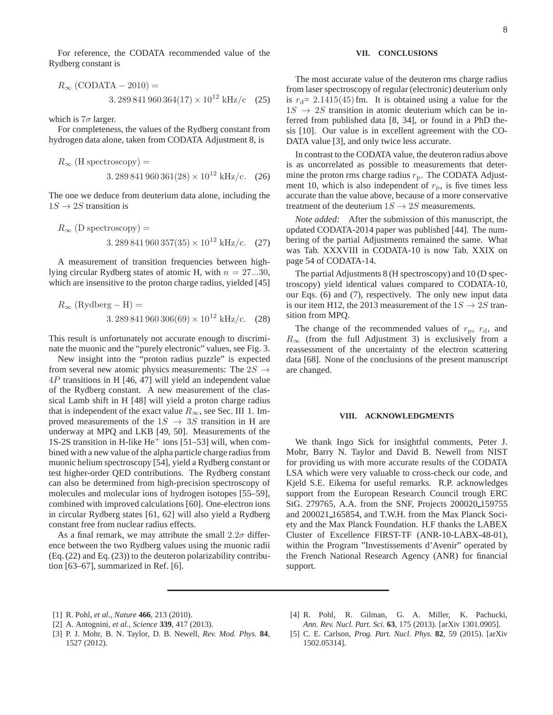For reference, the CODATA recommended value of the Rydberg constant is

$$
R_{\infty} \text{ (CODATA - 2010)} =
$$
  
3. 289 841 960 364(17) × 10<sup>12</sup> kHz/c (25)

which is  $7\sigma$  larger.

For completeness, the values of the Rydberg constant from hydrogen data alone, taken from CODATA Adjustment 8, is

$$
R_{\infty}
$$
 (H spectroscopy) =  
3. 289 841 960 361(28) × 10<sup>12</sup> kHz/c. (26)

The one we deduce from deuterium data alone, including the  $1S \rightarrow 2S$  transition is

$$
R_{\infty}
$$
 (D spectroscopy) =  
3. 289 841 960 357(35) × 10<sup>12</sup> kHz/c. (27)

A measurement of transition frequencies between highlying circular Rydberg states of atomic H, with  $n = 27...30$ , which are insensitive to the proton charge radius, yielded [45]

$$
R_{\infty}
$$
 (Rydberg – H) =  
3. 289 841 960 306(69) × 10<sup>12</sup> kHz/c. (28)

This result is unfortunately not accurate enough to discriminate the muonic and the "purely electronic" values, see Fig. 3.

New insight into the "proton radius puzzle" is expected from several new atomic physics measurements: The  $2S \rightarrow$ 4P transitions in H [46, 47] will yield an independent value of the Rydberg constant. A new measurement of the classical Lamb shift in H [48] will yield a proton charge radius that is independent of the exact value  $R_{\infty}$ , see Sec. III 1. Improved measurements of the  $1S \rightarrow 3S$  transition in H are underway at MPQ and LKB [49, 50]. Measurements of the 1S-2S transition in H-like  $He<sup>+</sup>$  ions [51–53] will, when combined with a new value of the alpha particle charge radius from muonic helium spectroscopy [54], yield a Rydberg constant or test higher-order QED contributions. The Rydberg constant can also be determined from high-precision spectroscopy of molecules and molecular ions of hydrogen isotopes [55–59], combined with improved calculations [60]. One-electron ions in circular Rydberg states [61, 62] will also yield a Rydberg constant free from nuclear radius effects.

As a final remark, we may attribute the small  $2.2\sigma$  difference between the two Rydberg values using the muonic radii (Eq. (22) and Eq. (23)) to the deuteron polarizability contribution [63–67], summarized in Ref. [6].

# **VII. CONCLUSIONS**

The most accurate value of the deuteron rms charge radius from laser spectroscopy of regular (electronic) deuterium only is  $r_d$  = 2.1415(45)fm. It is obtained using a value for the  $1S \rightarrow 2S$  transition in atomic deuterium which can be inferred from published data [8, 34], or found in a PhD thesis [10]. Our value is in excellent agreement with the CO-DATA value [3], and only twice less accurate.

In contrast to the CODATA value, the deuteron radius above is as uncorrelated as possible to measurements that determine the proton rms charge radius  $r_p$ . The CODATA Adjustment 10, which is also independent of  $r<sub>p</sub>$ , is five times less accurate than the value above, because of a more conservative treatment of the deuterium  $1S \rightarrow 2S$  measurements.

*Note added:* After the submission of this manuscript, the updated CODATA-2014 paper was published [44]. The numbering of the partial Adjustments remained the same. What was Tab. XXXVIII in CODATA-10 is now Tab. XXIX on page 54 of CODATA-14.

The partial Adjustments 8 (H spectroscopy) and 10 (D spectroscopy) yield identical values compared to CODATA-10, our Eqs. (6) and (7), respectively. The only new input data is our item H12, the 2013 measurement of the  $1S \rightarrow 2S$  transition from MPQ.

The change of the recommended values of  $r_p$ ,  $r_d$ , and  $R_{\infty}$  (from the full Adjustment 3) is exclusively from a reassessment of the uncertainty of the electron scattering data [68]. None of the conclusions of the present manuscript are changed.

### **VIII. ACKNOWLEDGMENTS**

We thank Ingo Sick for insightful comments, Peter J. Mohr, Barry N. Taylor and David B. Newell from NIST for providing us with more accurate results of the CODATA LSA which were very valuable to cross-check our code, and Kjeld S.E. Eikema for useful remarks. R.P. acknowledges support from the European Research Council trough ERC StG. 279765, A.A. from the SNF, Projects 200020 159755 and 200021 165854, and T.W.H. from the Max Planck Society and the Max Planck Foundation. H.F thanks the LABEX Cluster of Excellence FIRST-TF (ANR-10-LABX-48-01), within the Program "Investissements d'Avenir" operated by the French National Research Agency (ANR) for financial support.

- [1] R. Pohl, *et al.*, *Nature* **466**, 213 (2010).
- [2] A. Antognini, *et al.*, *Science* **339**, 417 (2013).
- [3] P. J. Mohr, B. N. Taylor, D. B. Newell, *Rev. Mod. Phys.* **84**, 1527 (2012).
- [4] R. Pohl, R. Gilman, G. A. Miller, K. Pachucki, *Ann. Rev. Nucl. Part. Sci.* **63**, 175 (2013). [arXiv 1301.0905].
- [5] C. E. Carlson, *Prog. Part. Nucl. Phys.* **82**, 59 (2015). [arXiv 1502.05314].